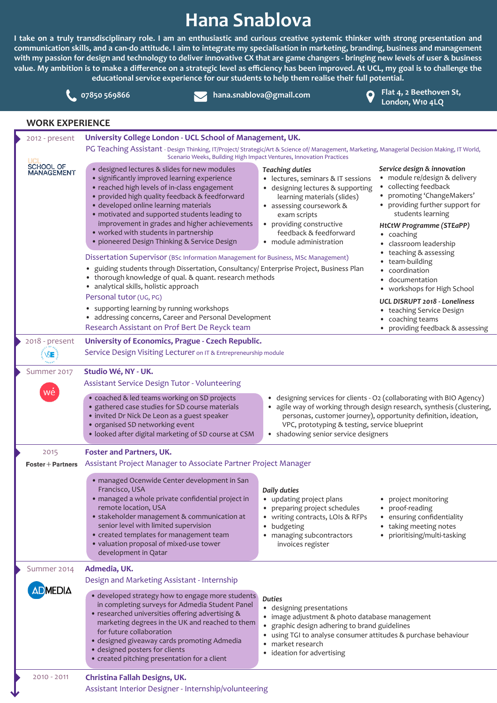## **Hana Snablova**

**I take on a truly transdisciplinary role. I am an enthusiastic and curious creative systemic thinker with strong presentation and communication skills, and a can-do attitude. I aim to integrate my specialisation in marketing, branding, business and management with my passion for design and technology to deliver innovative CX that are game changers - bringing new levels of user & business value. My ambition is to make a difference on a strategic level as efficiency has been improved. At UCL, my goal is to challenge the educational service experience for our students to help them realise their full potential.**



**Flat 4, 2 Beethoven St, London, W10 4LQ 07850 569866 hana.snablova@gmail.com**

## **WORK EXPERIENCE**

J

|  | 2012 - present            | University College London - UCL School of Management, UK.                                                                                                                                                                                                                                                                                                                                                                                                                                                                                                                                                                                                                                                                                                                                                                                                                                                   |                                                                                                                                                                                                                                                                                                            |                                                                                                                                                                                                                                                                                                                                                                                                                                                                                                               |  |
|--|---------------------------|-------------------------------------------------------------------------------------------------------------------------------------------------------------------------------------------------------------------------------------------------------------------------------------------------------------------------------------------------------------------------------------------------------------------------------------------------------------------------------------------------------------------------------------------------------------------------------------------------------------------------------------------------------------------------------------------------------------------------------------------------------------------------------------------------------------------------------------------------------------------------------------------------------------|------------------------------------------------------------------------------------------------------------------------------------------------------------------------------------------------------------------------------------------------------------------------------------------------------------|---------------------------------------------------------------------------------------------------------------------------------------------------------------------------------------------------------------------------------------------------------------------------------------------------------------------------------------------------------------------------------------------------------------------------------------------------------------------------------------------------------------|--|
|  |                           | PG Teaching Assistant - Design Thinking, IT/Project/ Strategic/Art & Science of/ Management, Marketing, Managerial Decision Making, IT World,<br>Scenario Weeks, Building High Impact Ventures, Innovation Practices                                                                                                                                                                                                                                                                                                                                                                                                                                                                                                                                                                                                                                                                                        |                                                                                                                                                                                                                                                                                                            |                                                                                                                                                                                                                                                                                                                                                                                                                                                                                                               |  |
|  | SCHOOL OF<br>MANAGEMENT   | • designed lectures & slides for new modules<br>• significantly improved learning experience<br>• reached high levels of in-class engagement<br>· provided high quality feedback & feedforward<br>· developed online learning materials<br>· motivated and supported students leading to<br>improvement in grades and higher achievements<br>• worked with students in partnership<br>· pioneered Design Thinking & Service Design<br>Dissertation Supervisor (BSc Information Management for Business, MSc Management)<br>· guiding students through Dissertation, Consultancy/ Enterprise Project, Business Plan<br>• thorough knowledge of qual. & quant. research methods<br>• analytical skills, holistic approach<br>Personal tutor (UG, PG)<br>• supporting learning by running workshops<br>• addressing concerns, Career and Personal Development<br>Research Assistant on Prof Bert De Reyck team | <b>Teaching duties</b><br>• lectures, seminars & IT sessions<br>• designing lectures & supporting<br>learning materials (slides)<br>• assessing coursework &<br>exam scripts<br>• providing constructive<br>feedback & feedforward<br>• module administration                                              | Service design & innovation<br>· module re/design & delivery<br>collecting feedback<br>• promoting 'ChangeMakers'<br>• providing further support for<br>students learning<br><b>HtCtW Programme (STEaPP)</b><br>• coaching<br>classroom leadership<br>$\bullet$<br>teaching & assessing<br>• team-building<br>coordination<br>documentation<br>$\bullet$<br>• workshops for High School<br>UCL DISRUPT 2018 - Loneliness<br>• teaching Service Design<br>• coaching teams<br>• providing feedback & assessing |  |
|  | 2018 - present            | University of Economics, Prague - Czech Republic.                                                                                                                                                                                                                                                                                                                                                                                                                                                                                                                                                                                                                                                                                                                                                                                                                                                           |                                                                                                                                                                                                                                                                                                            |                                                                                                                                                                                                                                                                                                                                                                                                                                                                                                               |  |
|  | E VSE :                   | Service Design Visiting Lecturer on IT & Entrepreneurship module                                                                                                                                                                                                                                                                                                                                                                                                                                                                                                                                                                                                                                                                                                                                                                                                                                            |                                                                                                                                                                                                                                                                                                            |                                                                                                                                                                                                                                                                                                                                                                                                                                                                                                               |  |
|  | Summer 2017               | Studio Wé, NY - UK.                                                                                                                                                                                                                                                                                                                                                                                                                                                                                                                                                                                                                                                                                                                                                                                                                                                                                         |                                                                                                                                                                                                                                                                                                            |                                                                                                                                                                                                                                                                                                                                                                                                                                                                                                               |  |
|  | wé                        | Assistant Service Design Tutor - Volunteering                                                                                                                                                                                                                                                                                                                                                                                                                                                                                                                                                                                                                                                                                                                                                                                                                                                               |                                                                                                                                                                                                                                                                                                            |                                                                                                                                                                                                                                                                                                                                                                                                                                                                                                               |  |
|  |                           | . coached & led teams working on SD projects<br>• gathered case studies for SD course materials<br>· invited Dr Nick De Leon as a guest speaker<br>• organised SD networking event<br>· looked after digital marketing of SD course at CSM                                                                                                                                                                                                                                                                                                                                                                                                                                                                                                                                                                                                                                                                  | • designing services for clients - O2 (collaborating with BIO Agency)<br>· agile way of working through design research, synthesis (clustering,<br>personas, customer journey), opportunity definition, ideation,<br>VPC, prototyping & testing, service blueprint<br>• shadowing senior service designers |                                                                                                                                                                                                                                                                                                                                                                                                                                                                                                               |  |
|  | 2015<br>Foster + Partners |                                                                                                                                                                                                                                                                                                                                                                                                                                                                                                                                                                                                                                                                                                                                                                                                                                                                                                             |                                                                                                                                                                                                                                                                                                            |                                                                                                                                                                                                                                                                                                                                                                                                                                                                                                               |  |
|  |                           | Assistant Project Manager to Associate Partner Project Manager<br>· managed Ocenwide Center development in San<br>Francisco, USA<br>· managed a whole private confidential project in<br>remote location, USA<br>• stakeholder management & communication at<br>senior level with limited supervision<br>• created templates for management team<br>· valuation proposal of mixed-use tower<br>development in Qatar                                                                                                                                                                                                                                                                                                                                                                                                                                                                                         | Daily duties<br>• updating project plans<br>preparing project schedules<br>• writing contracts, LOIs & RFPs<br>budgeting<br>$\bullet$<br>• managing subcontractors<br>invoices register                                                                                                                    | • project monitoring<br>• proof-reading<br>• ensuring confidentiality<br>• taking meeting notes<br>• prioritising/multi-tasking                                                                                                                                                                                                                                                                                                                                                                               |  |
|  | Summer 2014               | Admedia, UK.<br>Design and Marketing Assistant - Internship                                                                                                                                                                                                                                                                                                                                                                                                                                                                                                                                                                                                                                                                                                                                                                                                                                                 |                                                                                                                                                                                                                                                                                                            |                                                                                                                                                                                                                                                                                                                                                                                                                                                                                                               |  |
|  | <b>ADMEDIA</b>            | · developed strategy how to engage more students<br>in completing surveys for Admedia Student Panel<br>• researched universities offering advertising &<br>marketing degrees in the UK and reached to them<br>for future collaboration<br>· designed giveaway cards promoting Admedia<br>· designed posters for clients<br>• created pitching presentation for a client                                                                                                                                                                                                                                                                                                                                                                                                                                                                                                                                     | <b>Duties</b><br>• designing presentations<br>• image adjustment & photo database management<br>graphic design adhering to brand guidelines<br>$\bullet$<br>using TGI to analyse consumer attitudes & purchase behaviour<br>$\bullet$<br>market research<br>$\bullet$<br>• ideation for advertising        |                                                                                                                                                                                                                                                                                                                                                                                                                                                                                                               |  |
|  | $2010 - 2011$             | Christina Fallah Designs, UK.<br>Assistant Interior Designer - Internship/volunteering                                                                                                                                                                                                                                                                                                                                                                                                                                                                                                                                                                                                                                                                                                                                                                                                                      |                                                                                                                                                                                                                                                                                                            |                                                                                                                                                                                                                                                                                                                                                                                                                                                                                                               |  |